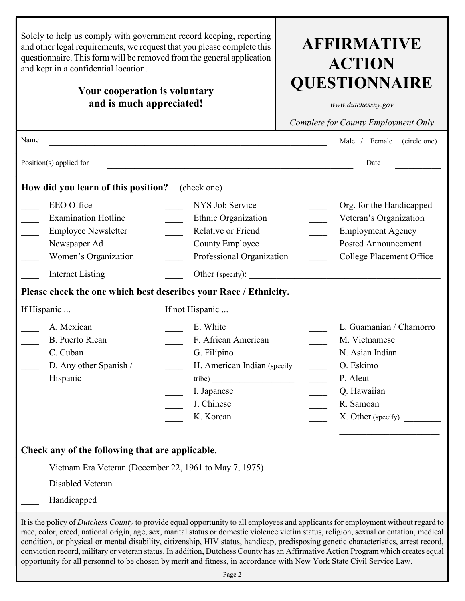| Male /<br>Female<br>(circle one)<br>Date<br>How did you learn of this position?<br>(check one)<br><b>EEO</b> Office<br>NYS Job Service<br>Org. for the Handicapped<br><b>Examination Hotline</b><br>Ethnic Organization<br>Veteran's Organization<br><b>Employee Newsletter</b><br>Relative or Friend<br><b>Employment Agency</b><br><b>Posted Announcement</b><br>Newspaper Ad<br>County Employee<br>Women's Organization<br>Professional Organization<br>College Placement Office<br><b>Internet Listing</b><br>Other (specify):<br>Please check the one which best describes your Race / Ethnicity.<br>If Hispanic<br>If not Hispanic<br>A. Mexican<br>E. White<br><b>B.</b> Puerto Rican<br>F. African American<br>M. Vietnamese<br>C. Cuban<br>G. Filipino<br>N. Asian Indian<br>D. Any other Spanish /<br>H. American Indian (specify<br>O. Eskimo<br>P. Aleut<br>Hispanic<br>tribe)<br>Q. Hawaiian<br>I. Japanese<br>J. Chinese<br>R. Samoan<br>K. Korean<br>X. Other (specify)<br>Check any of the following that are applicable.<br>Vietnam Era Veteran (December 22, 1961 to May 7, 1975)<br>Disabled Veteran<br>Handicapped | and other legal requirements, we request that you please complete this<br>questionnaire. This form will be removed from the general application<br>and kept in a confidential location.<br>Your cooperation is voluntary<br>and is much appreciated! | <b>AFFIRMATIVE</b><br><b>ACTION</b><br><b>QUESTIONNAIRE</b><br>www.dutchessny.gov<br>Complete for County Employment Only |  |  |  |
|----------------------------------------------------------------------------------------------------------------------------------------------------------------------------------------------------------------------------------------------------------------------------------------------------------------------------------------------------------------------------------------------------------------------------------------------------------------------------------------------------------------------------------------------------------------------------------------------------------------------------------------------------------------------------------------------------------------------------------------------------------------------------------------------------------------------------------------------------------------------------------------------------------------------------------------------------------------------------------------------------------------------------------------------------------------------------------------------------------------------------------------|------------------------------------------------------------------------------------------------------------------------------------------------------------------------------------------------------------------------------------------------------|--------------------------------------------------------------------------------------------------------------------------|--|--|--|
|                                                                                                                                                                                                                                                                                                                                                                                                                                                                                                                                                                                                                                                                                                                                                                                                                                                                                                                                                                                                                                                                                                                                        | Name                                                                                                                                                                                                                                                 |                                                                                                                          |  |  |  |
| L. Guamanian / Chamorro<br>It is the policy of Dutchess County to provide equal opportunity to all employees and applicants for employment without regard to                                                                                                                                                                                                                                                                                                                                                                                                                                                                                                                                                                                                                                                                                                                                                                                                                                                                                                                                                                           | Position(s) applied for                                                                                                                                                                                                                              |                                                                                                                          |  |  |  |
|                                                                                                                                                                                                                                                                                                                                                                                                                                                                                                                                                                                                                                                                                                                                                                                                                                                                                                                                                                                                                                                                                                                                        |                                                                                                                                                                                                                                                      |                                                                                                                          |  |  |  |
|                                                                                                                                                                                                                                                                                                                                                                                                                                                                                                                                                                                                                                                                                                                                                                                                                                                                                                                                                                                                                                                                                                                                        |                                                                                                                                                                                                                                                      |                                                                                                                          |  |  |  |
|                                                                                                                                                                                                                                                                                                                                                                                                                                                                                                                                                                                                                                                                                                                                                                                                                                                                                                                                                                                                                                                                                                                                        |                                                                                                                                                                                                                                                      |                                                                                                                          |  |  |  |
|                                                                                                                                                                                                                                                                                                                                                                                                                                                                                                                                                                                                                                                                                                                                                                                                                                                                                                                                                                                                                                                                                                                                        |                                                                                                                                                                                                                                                      |                                                                                                                          |  |  |  |
|                                                                                                                                                                                                                                                                                                                                                                                                                                                                                                                                                                                                                                                                                                                                                                                                                                                                                                                                                                                                                                                                                                                                        |                                                                                                                                                                                                                                                      |                                                                                                                          |  |  |  |
|                                                                                                                                                                                                                                                                                                                                                                                                                                                                                                                                                                                                                                                                                                                                                                                                                                                                                                                                                                                                                                                                                                                                        |                                                                                                                                                                                                                                                      |                                                                                                                          |  |  |  |
|                                                                                                                                                                                                                                                                                                                                                                                                                                                                                                                                                                                                                                                                                                                                                                                                                                                                                                                                                                                                                                                                                                                                        |                                                                                                                                                                                                                                                      |                                                                                                                          |  |  |  |
| race, color, creed, national origin, age, sex, marital status or domestic violence victim status, religion, sexual orientation, medical<br>condition, or physical or mental disability, citizenship, HIV status, handicap, predisposing genetic characteristics, arrest record,<br>conviction record, military or veteran status. In addition, Dutchess County has an Affirmative Action Program which creates equal<br>opportunity for all personnel to be chosen by merit and fitness, in accordance with New York State Civil Service Law.<br>Page 2                                                                                                                                                                                                                                                                                                                                                                                                                                                                                                                                                                                |                                                                                                                                                                                                                                                      |                                                                                                                          |  |  |  |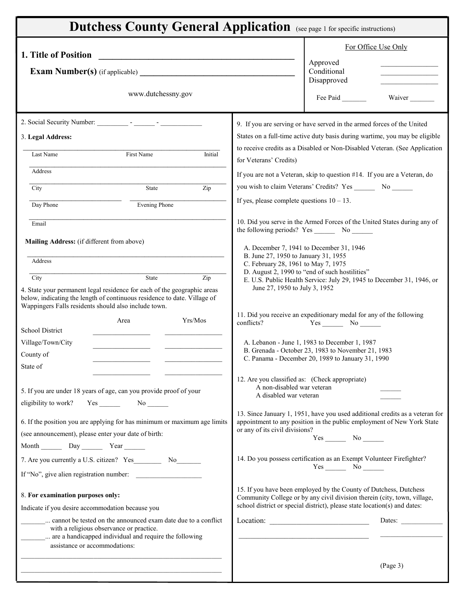|                                                                                                                                                             |                                                                                        |                                                                                                     | For Office Use Only                                                                                                                                    |  |  |
|-------------------------------------------------------------------------------------------------------------------------------------------------------------|----------------------------------------------------------------------------------------|-----------------------------------------------------------------------------------------------------|--------------------------------------------------------------------------------------------------------------------------------------------------------|--|--|
| 1. Title of Position<br><u> 1980 - Jan Samuel Barbara, político establecente de la provincia de la provincia de la provincia de la provi</u>                |                                                                                        | Approved                                                                                            |                                                                                                                                                        |  |  |
|                                                                                                                                                             |                                                                                        | Conditional                                                                                         |                                                                                                                                                        |  |  |
| www.dutchessny.gov                                                                                                                                          |                                                                                        | Disapproved<br>Fee Paid                                                                             | Waiver                                                                                                                                                 |  |  |
| 2. Social Security Number:<br>$\mathcal{L}(\mathcal{L})$ , and $\mathcal{L}(\mathcal{L})$ , and $\mathcal{L}(\mathcal{L})$ , and $\mathcal{L}(\mathcal{L})$ |                                                                                        |                                                                                                     |                                                                                                                                                        |  |  |
| 3. Legal Address:                                                                                                                                           | 9. If you are serving or have served in the armed forces of the United                 |                                                                                                     | States on a full-time active duty basis during wartime, you may be eligible                                                                            |  |  |
| Initial<br>Last Name<br>First Name                                                                                                                          |                                                                                        |                                                                                                     | to receive credits as a Disabled or Non-Disabled Veteran. (See Application                                                                             |  |  |
| Address                                                                                                                                                     | for Veterans' Credits)                                                                 |                                                                                                     |                                                                                                                                                        |  |  |
| State<br>Zip<br>City                                                                                                                                        | you wish to claim Veterans' Credits? Yes __________ No _______                         |                                                                                                     | If you are not a Veteran, skip to question #14. If you are a Veteran, do                                                                               |  |  |
| <b>Evening Phone</b><br>Day Phone                                                                                                                           | If yes, please complete questions $10 - 13$ .                                          |                                                                                                     |                                                                                                                                                        |  |  |
| Email                                                                                                                                                       |                                                                                        |                                                                                                     | 10. Did you serve in the Armed Forces of the United States during any of                                                                               |  |  |
| Mailing Address: (if different from above)                                                                                                                  | the following periods? Yes No                                                          |                                                                                                     |                                                                                                                                                        |  |  |
|                                                                                                                                                             |                                                                                        | A. December 7, 1941 to December 31, 1946<br>B. June 27, 1950 to January 31, 1955                    |                                                                                                                                                        |  |  |
| Address                                                                                                                                                     | C. February 28, 1961 to May 7, 1975                                                    | D. August 2, 1990 to "end of such hostilities"                                                      |                                                                                                                                                        |  |  |
| State<br>Zip<br>City<br>4. State your permanent legal residence for each of the geographic areas                                                            | June 27, 1950 to July 3, 1952                                                          |                                                                                                     | E. U.S. Public Health Service: July 29, 1945 to December 31, 1946, or                                                                                  |  |  |
| below, indicating the length of continuous residence to date. Village of<br>Wappingers Falls residents should also include town.                            |                                                                                        |                                                                                                     |                                                                                                                                                        |  |  |
| Yrs/Mos<br>Area                                                                                                                                             | 11. Did you receive an expeditionary medal for any of the following<br>conflicts?      | $Yes$ No $\_\_\_\_\$                                                                                |                                                                                                                                                        |  |  |
| School District                                                                                                                                             |                                                                                        |                                                                                                     |                                                                                                                                                        |  |  |
| Village/Town/City<br>County of                                                                                                                              |                                                                                        | A. Lebanon - June 1, 1983 to December 1, 1987<br>B. Grenada - October 23, 1983 to November 21, 1983 |                                                                                                                                                        |  |  |
| State of                                                                                                                                                    |                                                                                        | C. Panama - December 20, 1989 to January 31, 1990                                                   |                                                                                                                                                        |  |  |
|                                                                                                                                                             | 12. Are you classified as: (Check appropriate)<br>A non-disabled war veteran           |                                                                                                     |                                                                                                                                                        |  |  |
| 5. If you are under 18 years of age, can you provide proof of your                                                                                          | A disabled war veteran                                                                 |                                                                                                     |                                                                                                                                                        |  |  |
| 6. If the position you are applying for has minimum or maximum age limits                                                                                   |                                                                                        |                                                                                                     | 13. Since January 1, 1951, have you used additional credits as a veteran for<br>appointment to any position in the public employment of New York State |  |  |
| (see announcement), please enter your date of birth:                                                                                                        | or any of its civil divisions?                                                         | Yes No                                                                                              |                                                                                                                                                        |  |  |
| Month Day Year                                                                                                                                              |                                                                                        |                                                                                                     |                                                                                                                                                        |  |  |
|                                                                                                                                                             | 14. Do you possess certification as an Exempt Volunteer Firefighter?                   | $Yes$ No $\_\_$                                                                                     |                                                                                                                                                        |  |  |
| If "No", give alien registration number:                                                                                                                    |                                                                                        |                                                                                                     |                                                                                                                                                        |  |  |
| 8. For examination purposes only:                                                                                                                           | 15. If you have been employed by the County of Dutchess, Dutchess                      |                                                                                                     | Community College or by any civil division therein (city, town, village,                                                                               |  |  |
| Indicate if you desire accommodation because you<br>cannot be tested on the announced exam date due to a conflict                                           | school district or special district), please state location(s) and dates:<br>Location: |                                                                                                     | Dates:                                                                                                                                                 |  |  |
| with a religious observance or practice.<br>are a handicapped individual and require the following<br>assistance or accommodations:                         |                                                                                        |                                                                                                     |                                                                                                                                                        |  |  |
|                                                                                                                                                             |                                                                                        |                                                                                                     | (Page 3)                                                                                                                                               |  |  |
|                                                                                                                                                             |                                                                                        |                                                                                                     |                                                                                                                                                        |  |  |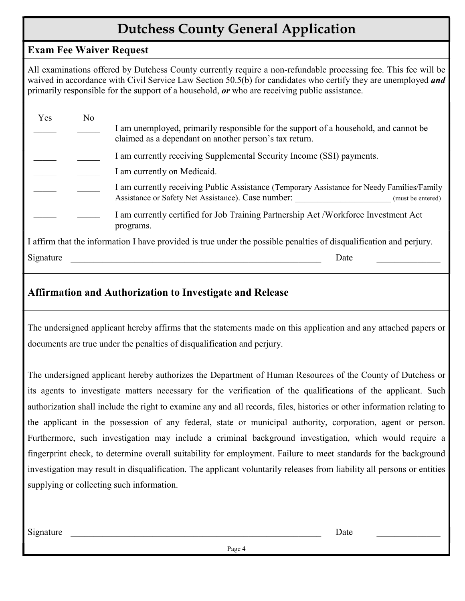## Dutchess County General Application

## Exam Fee Waiver Request

All examinations offered by Dutchess County currently require a non-refundable processing fee. This fee will be waived in accordance with Civil Service Law Section 50.5(b) for candidates who certify they are unemployed *and* **Dutchess County General Application**<br> **Exam Fee Waiver Request**<br>
All examinations offered by Dutchess County currently require a non-refundable processing fee. This fee will be<br>
waived in accordance with Civil Service Law

|                                | <b>Dutchess County General Application</b>                                                                                                                                                                                                                                                                                                                                                                                                                            |
|--------------------------------|-----------------------------------------------------------------------------------------------------------------------------------------------------------------------------------------------------------------------------------------------------------------------------------------------------------------------------------------------------------------------------------------------------------------------------------------------------------------------|
| <b>Exam Fee Waiver Request</b> |                                                                                                                                                                                                                                                                                                                                                                                                                                                                       |
|                                | All examinations offered by Dutchess County currently require a non-refundable processing fee. This fee will be<br>waived in accordance with Civil Service Law Section 50.5(b) for candidates who certify they are unemployed and<br>primarily responsible for the support of a household, $or$ who are receiving public assistance.                                                                                                                                  |
| N <sub>o</sub><br>Yes          | I am unemployed, primarily responsible for the support of a household, and cannot be<br>claimed as a dependant on another person's tax return.                                                                                                                                                                                                                                                                                                                        |
|                                | I am currently receiving Supplemental Security Income (SSI) payments.                                                                                                                                                                                                                                                                                                                                                                                                 |
|                                | I am currently on Medicaid.                                                                                                                                                                                                                                                                                                                                                                                                                                           |
|                                | I am currently receiving Public Assistance (Temporary Assistance for Needy Families/Family<br>Assistance or Safety Net Assistance). Case number:<br>(must be entered)                                                                                                                                                                                                                                                                                                 |
|                                | I am currently certified for Job Training Partnership Act / Workforce Investment Act<br>programs.                                                                                                                                                                                                                                                                                                                                                                     |
|                                | I affirm that the information I have provided is true under the possible penalties of disqualification and perjury.                                                                                                                                                                                                                                                                                                                                                   |
| Signature                      | Date                                                                                                                                                                                                                                                                                                                                                                                                                                                                  |
|                                | <b>Affirmation and Authorization to Investigate and Release</b><br>The undersigned applicant hereby affirms that the statements made on this application and any attached papers or                                                                                                                                                                                                                                                                                   |
|                                | documents are true under the penalties of disqualification and perjury.                                                                                                                                                                                                                                                                                                                                                                                               |
|                                | The undersigned applicant hereby authorizes the Department of Human Resources of the County of Dutchess or<br>its agents to investigate matters necessary for the verification of the qualifications of the applicant. Such<br>authorization shall include the right to examine any and all records, files, histories or other information relating to<br>the applicant in the possession of any federal, state or municipal authority, corporation, agent or person. |

## Affirmation and Authorization to Investigate and Release

its agents to investigate matters necessary for the verification of the qualifications of the applicant. Such authorization shall include the right to examine any and all records, files, histories or other information relating to the applicant in the possession of any federal, state or municipal authority, corporation, agent or person. Furthermore, such investigation may include a criminal background investigation, which would require a fingerprint check, to determine overall suitability for employment. Failure to meet standards for the background investigation may result in disqualification. The applicant voluntarily releases from liability all persons or entities supplying or collecting such information. documents are true under the penalties of disqualification and perjury.<br>
The undersigned applicant hereby authorizes the Department of Human Resources of the County of Dutchess or<br>
its agents to investigate matters necessa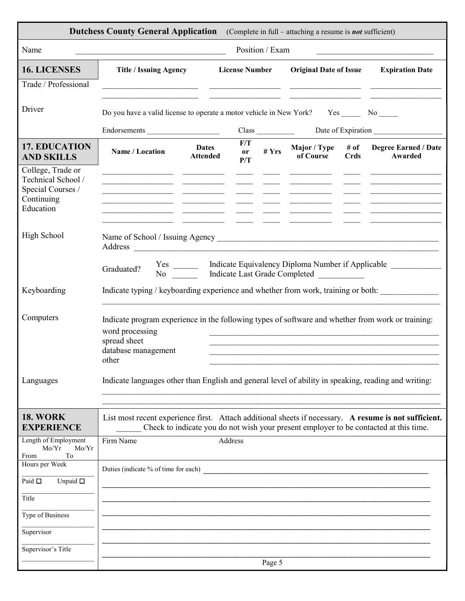| Name                                                                                    | <b>Dutchess County General Application</b>                                                                                                                                                                                     |                                 |                       | Position / Exam | (Complete in full – attaching a resume is <b>not</b> sufficient) |                     |                                                                                       |
|-----------------------------------------------------------------------------------------|--------------------------------------------------------------------------------------------------------------------------------------------------------------------------------------------------------------------------------|---------------------------------|-----------------------|-----------------|------------------------------------------------------------------|---------------------|---------------------------------------------------------------------------------------|
| <b>16. LICENSES</b><br>Trade / Professional                                             | <b>Title / Issuing Agency</b>                                                                                                                                                                                                  |                                 | <b>License Number</b> |                 | <b>Original Date of Issue</b>                                    |                     | <b>Expiration Date</b>                                                                |
| Driver                                                                                  | Do you have a valid license to operate a motor vehicle in New York?<br>Endorsements                                                                                                                                            |                                 | Class                 |                 |                                                                  | Date of Expiration  | $Yes$ No $\rule{1em}{0.15mm}$ No $\rule{1.5mm}{0.15mm}$                               |
| <b>17. EDUCATION</b><br><b>AND SKILLS</b>                                               | Name / Location                                                                                                                                                                                                                | <b>Dates</b><br><b>Attended</b> | F/T<br>or<br>P/T      | # $Yrs$         | Major / Type<br>of Course                                        | # of<br><b>Crds</b> | <b>Degree Earned / Date</b><br>Awarded                                                |
| College, Trade or<br>Technical School /<br>Special Courses /<br>Continuing<br>Education |                                                                                                                                                                                                                                |                                 |                       |                 |                                                                  |                     |                                                                                       |
| High School                                                                             | Address and the contract of the contract of the contract of the contract of the contract of the contract of the contract of the contract of the contract of the contract of the contract of the contract of the contract of th |                                 |                       |                 |                                                                  |                     |                                                                                       |
|                                                                                         | Graduated?                                                                                                                                                                                                                     |                                 |                       |                 |                                                                  |                     |                                                                                       |
| Keyboarding                                                                             | Indicate typing / keyboarding experience and whether from work, training or both:                                                                                                                                              |                                 |                       |                 |                                                                  |                     |                                                                                       |
| Computers                                                                               | Indicate program experience in the following types of software and whether from work or training:<br>word processing<br>spread sheet<br>database management<br>other                                                           |                                 |                       |                 |                                                                  |                     |                                                                                       |
| Languages                                                                               | Indicate languages other than English and general level of ability in speaking, reading and writing:                                                                                                                           |                                 |                       |                 |                                                                  |                     |                                                                                       |
| <b>18. WORK</b><br><b>EXPERIENCE</b>                                                    | List most recent experience first. Attach additional sheets if necessary. A resume is not sufficient.                                                                                                                          |                                 |                       |                 |                                                                  |                     | Check to indicate you do not wish your present employer to be contacted at this time. |
| Length of Employment<br>Mo/Yr<br>Mo/Yr<br>To<br><b>From</b>                             | Firm Name                                                                                                                                                                                                                      |                                 | Address               |                 |                                                                  |                     |                                                                                       |
| Hours per Week<br>Unpaid $\square$<br>Paid $\Box$                                       | Duties (indicate % of time for each) Duties (indicate % of time for each)                                                                                                                                                      |                                 |                       |                 |                                                                  |                     |                                                                                       |
| Title                                                                                   |                                                                                                                                                                                                                                |                                 |                       |                 |                                                                  |                     |                                                                                       |
| Type of Business                                                                        |                                                                                                                                                                                                                                |                                 |                       |                 |                                                                  |                     |                                                                                       |
| Supervisor                                                                              |                                                                                                                                                                                                                                |                                 |                       |                 |                                                                  |                     |                                                                                       |
| Supervisor's Title                                                                      |                                                                                                                                                                                                                                |                                 |                       |                 |                                                                  |                     |                                                                                       |
|                                                                                         |                                                                                                                                                                                                                                |                                 |                       | Page 5          |                                                                  |                     |                                                                                       |